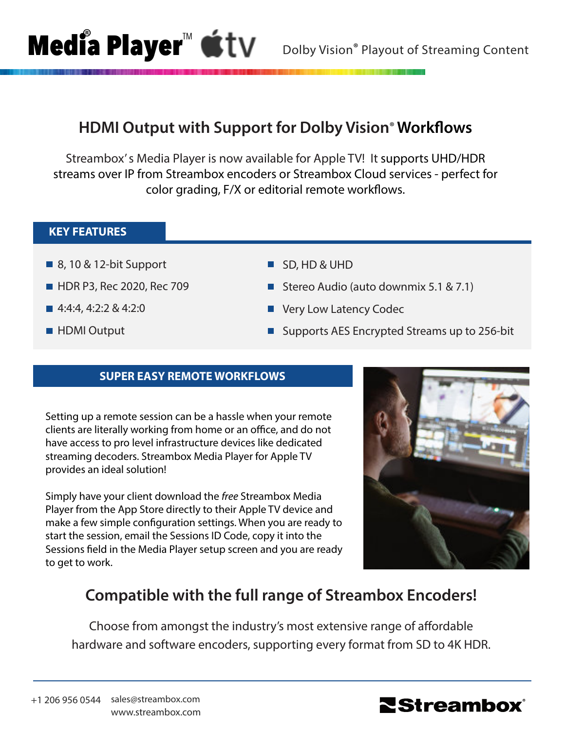## **HDMI Output with Support for Dolby Vision**® **Workflows**

Streambox' s Media Player is now available for Apple TV! It supports UHD/HDR streams over IP from Streambox encoders or Streambox Cloud services - perfect for color grading, F/X or editorial remote workflows.

## **KEY FEATURES**

■ 8, 10 & 12-bit Support

**Media Player™** 

- **HDR P3, Rec 2020, Rec 709**
- 4:4:4, 4:2:2 & 4:2:0
- **HDMI** Output
- SD, HD & UHD
- Stereo Audio (auto downmix 5.1 & 7.1)
- Very Low Latency Codec
- Supports AES Encrypted Streams up to 256-bit

## **SUPER EASY REMOTE WORKFLOWS**

Setting up a remote session can be a hassle when your remote clients are literally working from home or an office, and do not have access to pro level infrastructure devices like dedicated streaming decoders. Streambox Media Player for Apple TV provides an ideal solution!

Simply have your client download the *free* Streambox Media Player from the App Store directly to their Apple TV device and make a few simple configuration settings. When you are ready to start the session, email the Sessions ID Code, copy it into the Sessions field in the Media Player setup screen and you are ready to get to work.



# **Compatible with the full range of Streambox Encoders!**

Choose from amongst the industry's most extensive range of affordable hardware and software encoders, supporting every format from SD to 4K HDR.

+1 206 956 0544